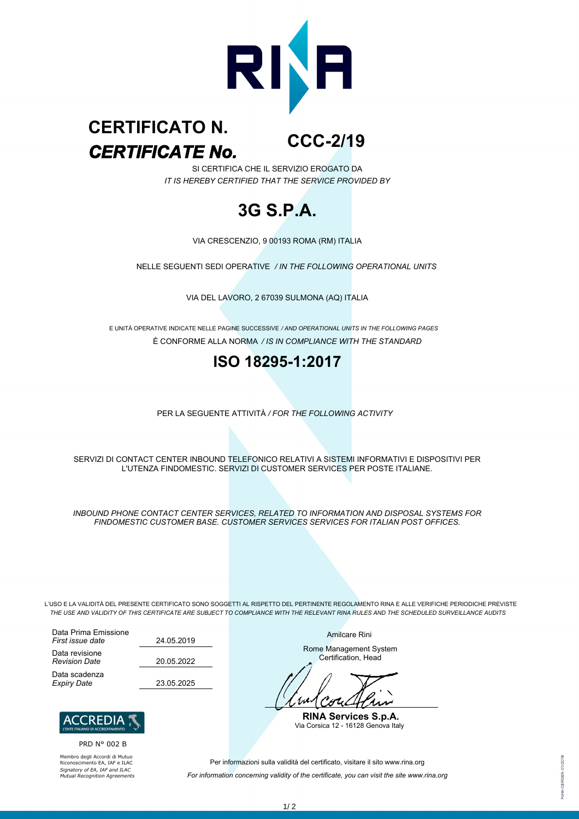

#### **CCC-2/19** *CERTIFICATE No.* **CERTIFICATO N.**

SI CERTIFICA CHE IL SERVIZIO EROGATO DA *IT IS HEREBY CERTIFIED THAT THE SERVICE PROVIDED BY*

# **3G S.P.A.**

VIA CRESCENZIO, 9 00193 ROMA (RM) ITALIA

NELLE SEGUENTI SEDI OPERATIVE */ IN THE FOLLOWING OPERATIONAL UNITS*

VIA DEL LAVORO, 2 67039 SULMONA (AQ) ITALIA

È CONFORME ALLA NORMA */ IS IN COMPLIANCE WITH THE STANDARD* E UNITÀ OPERATIVE INDICATE NELLE PAGINE SUCCESSIVE */ AND OPERATIONAL UNITS IN THE FOLLOWING PAGES*

### **ISO 18295-1:2017**

PER LA SEGUENTE ATTIVITÀ */ FOR THE FOLLOWING ACTIVITY*

SERVIZI DI CONTACT CENTER INBOUND TELEFONICO RELATIVI A SISTEMI INFORMATIVI E DISPOSITIVI PER L'UTENZA FINDOMESTIC. SERVIZI DI CUSTOMER SERVICES PER POSTE ITALIANE.

*INBOUND PHONE CONTACT CENTER SERVICES, RELATED TO INFORMATION AND DISPOSAL SYSTEMS FOR FINDOMESTIC CUSTOMER BASE. CUSTOMER SERVICES SERVICES FOR ITALIAN POST OFFICES.*

L'USO E LA VALIDITÀ DEL PRESENTE CERTIFICATO SONO SOGGETTI AL RISPETTO DEL PERTINENTE REGOLAMENTO RINA E ALLE VERIFICHE PERIODICHE PREVISTE *THE USE AND VALIDITY OF THIS CERTIFICATE ARE SUBJECT TO COMPLIANCE WITH THE RELEVANT RINA RULES AND THE SCHEDULED SURVEILLANCE AUDITS*

Data Prima Emissione *First issue date* Data revisione *Revision Date* Data scadenza *Expiry Date* 23.05.2025

24.05.2019 20.05.2022



PRD N° 002 B

Membro degli Accordi di Mutuo Riconoscimento EA, IAF e ILAC *Signatory of EA, IAF and ILAC Mutual Recognition Agreements* Amilcare Rini

Rome Management System Certification, Head

1 × 1

**RINA Services S.p.A.** Via Corsica 12 - 16128 Genova Italy

Per informazioni sulla validità del certificato, visitare il sito www.rina.org

*For information concerning validity of the certificate, you can visit the site www.rina.org*